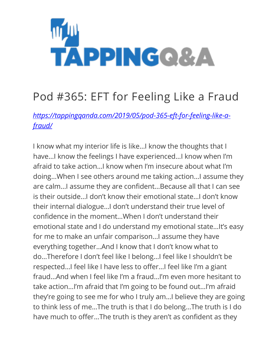

## Pod #365: EFT for Feeling Like a Fraud

*[https://tappingqanda.com/2019/05/pod-365-eft-for-feeling-like-a](https://tappingqanda.com/2019/05/pod-365-eft-for-feeling-like-a-fraud/)[fraud/](https://tappingqanda.com/2019/05/pod-365-eft-for-feeling-like-a-fraud/)*

I know what my interior life is like…I know the thoughts that I have…I know the feelings I have experienced…I know when I'm afraid to take action…I know when I'm insecure about what I'm doing…When I see others around me taking action…I assume they are calm…I assume they are confident…Because all that I can see is their outside…I don't know their emotional state…I don't know their internal dialogue…I don't understand their true level of confidence in the moment…When I don't understand their emotional state and I do understand my emotional state…It's easy for me to make an unfair comparison…I assume they have everything together…And I know that I don't know what to do…Therefore I don't feel like I belong…I feel like I shouldn't be respected…I feel like I have less to offer…I feel like I'm a giant fraud…And when I feel like I'm a fraud…I'm even more hesitant to take action…I'm afraid that I'm going to be found out…I'm afraid they're going to see me for who I truly am…I believe they are going to think less of me…The truth is that I do belong…The truth is I do have much to offer…The truth is they aren't as confident as they